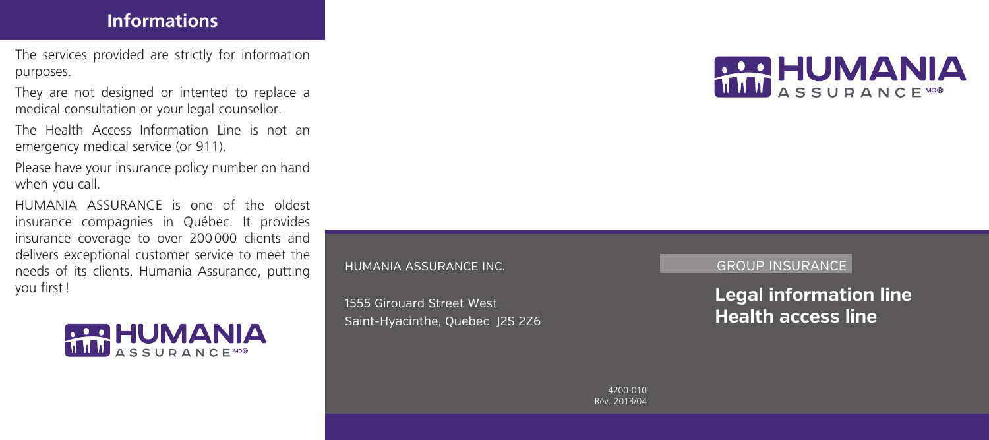## **Informations**

The services provided are strictly for information purposes.

They are not designed or intented to replace a medical consultation or your legal counsellor.

The Health Access Information Line is not an emergency medical service (or 911).

Please have your insurance policy number on hand when you call.

HUMANIA ASSURANCE is one of the oldest insurance compagnies in Québec. It provides insurance coverage to over 200000 clients and delivers exceptional customer service to meet the needs of its clients. Humania Assurance, putting you first!



#### HUMANIA ASSURANCE INC.

1555 Girouard Street West Saint-Hyacinthe, Quebec J2S 2Z6 **RAD HUMANIA** 

#### GROUP INSURANCE

**Legal information line Health access line**

4200-010 Rév. 2013/04